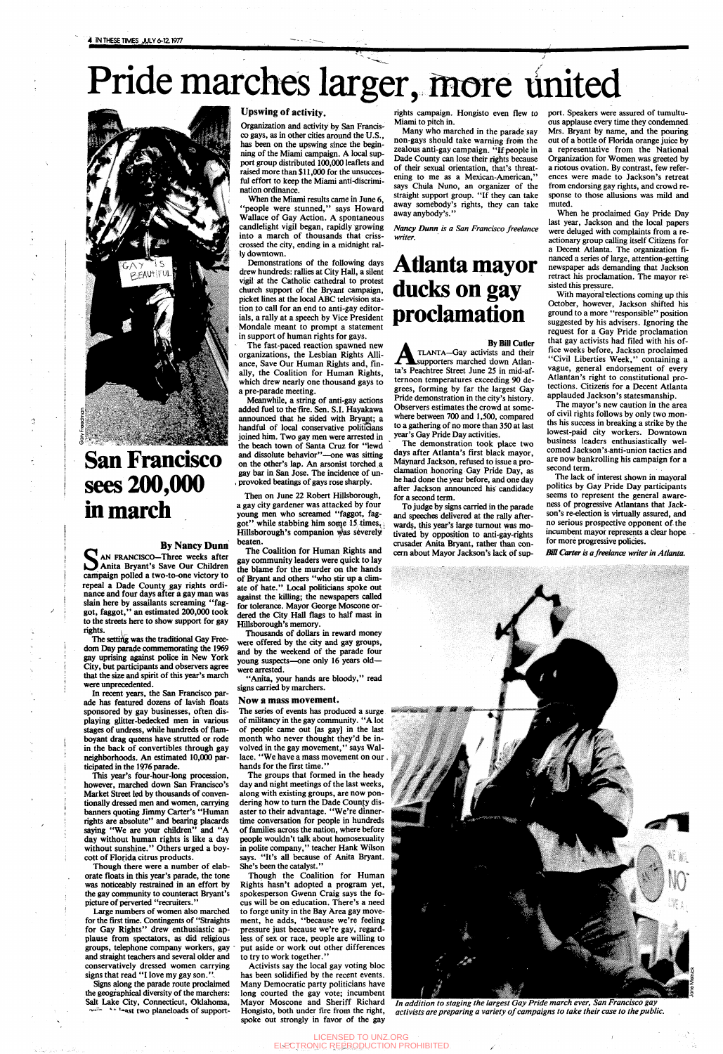# Pride marches larger, more united



**San Francisco sees 200,000 in march**

柰

#### By Nancy Dunn

AN FRANCISCO-Three weeks after Anita Bryant's Save Our Children campaign polled a two-to-one victory to repeal a Dade County gay rights ordinance and four days after a gay man was slain here by assailants screaming "faggot, faggot," an estimated 200,000 took to the streets here to show support for gay rights.

The setting was the traditional Gay Freedom Day parade commemorating the 1969 gay uprising against police in New York Gty, but participants and observers agree that the size and spirit of this year's march were unprecedented.

Large numbers of women also marched for the first time. Contingents of "Straights for Gay Rights" drew enthusiastic applause from spectators, as did religious groups, telephone company workers, gay and straight teachers and several older and conservatively dressed women carrying signs that read "I love my gay son."

Signs along the parade route proclaimed the geographical diversity of the marchers: Salt Lake City, Connecticut, Oklahoma, the set two planeloads of support-

In recent years, the San Francisco parade has featured dozens of lavish floats sponsored by gay businesses, often displaying glitter-bedecked men in various stages of undress, while hundreds of flamboyant drag queens have strutted or rode in the back of convertibles through gay neighborhoods. An estimated 10,000 participated in the 1976 parade. This year's four-hour-long procession, however, marched down San Francisco's Market Street led by thousands of conventionally dressed men and women, carrying banners quoting Jimmy Carter's "Human rights are absolute" and bearing placards saying "We are your children" and "A day without human rights is like a day without sunshine." Others urged a boycott of Florida citrus products.

Though there were a number of elaborate floats in this year's parade, the tone was noticeably restrained in an effort by the gay community to counteract Bryant's picture of perverted "recruiters."

The fast-paced reaction spawned new organizations, the Lesbian Rights Alliance, Save Our Human Rights and, finally, the Coalition for Human Rights, which drew nearly one thousand gays to a pre-parade meeting.

#### **Upswing of activity.**

Organization and activity by San Francisco gays, as in other cities around the U.S., has been on the upswing since the beginning of the Miami campaign. A local support group distributed 100,000 leaflets and raised more than \$11,000 for the unsuccesful effort to keep the Miami anti-discrimination ordinance.

When the Miami results came in June 6, 'people were stunned," says Howard Wallace of Gay Action. A spontaneous candlelight vigil began, rapidly growing into a march of thousands that crisscrossed the city, ending in a midnight rally downtown.

Demonstrations of the following days drew hundreds: rallies at City Hall, a silent vigil at the Catholic cathedral to protest church support of the Bryant campaign, picket lines at the local ABC television station to call for an end to anti-gay editorials, a rally at a speech by Vice President Mondale meant to prompt a statement in support of human rights for gays.

By Bill Cutler<br>
TLANTA—Gay activists and their<br>
ta's Peachtree Street June 25 in mid-af-By Bill Cutler TLANTA—Gay activists and their supporters marched down Atlanternoon temperatures exceeding 90 degrees, forming by far the largest Gay Pride demonstration in the city's history. Observers estimates the crowd at somewhere between 700 and 1,500, compared to a gathering of no more than 350 at last year's Gay Pride Day activities.

Meanwhile, a string of anti-gay actions added fuel to the fire. Sen. S.I. Hayakawa announced that he sided with Bryant; a handful of local conservative politicians joined him. Two gay men were arrested in the beach town of Santa Cruz for "lewd and dissolute behavior"—one was sitting on the other's lap. An arsonist torched a gay bar in San Jose. The incidence of un- , provoked beatings of gays rose sharply.

Then on June 22 Robert Hillsborough, a gay city gardener was attacked by four young men who screamed "faggot, faggot" while stabbing him some 15 times. Hillsborough's companion was severely beaten.

The Coalition for Human Rights and gay community leaders were quick to lay the blame for the murder on the hands of Bryant and others "who stir up a climate of hate." Local politicians spoke out against the killing; the newspapers called for tolerance. Mayor George Moscone ordered the City Hall flags to half mast in Hillsborough's memory.

With mayoral elections coming up this October, however, Jackson shifted his ground to a more "responsible" position suggested by his advisers. Ignoring the request for a Gay Pride proclamation that gay activists had filed with his office weeks before, Jackson proclaimed "Civil Liberties Week," containing a vague, general endorsement of every Atlantan's right to constitutional protections. Citizens for a Decent Atlanta applauded Jackson's statesmanship.

Thousands of dollars in reward money were offered by the city and gay groups, and by the weekend of the parade four young suspects—one only 16 years old were arrested.

"Anita, your hands are bloody," read signs carried by marchers.

#### **Now a mass movement.**

The series of events has produced a surge of militancy in the gay community. "A lot of people came out [as gay] in the last month who never thought they'd be involved in the gay movement," says Wallace. "We have a mass movement on our . hands for the first time.'' The groups that formed in the heady day and night meetings of the last weeks, along with existing groups, are now pondering how to turn the Dade County disaster to their advantage. "We're dinnertime conversation for people in hundreds of families across the nation, where before people wouldn't talk about homosexuality in polite company," teacher Hank Wilson says. "It's all because of Anita Bryant. She's been the catalyst." Though the Coalition for Human Rights hasn't adopted a program yet, spokesperson Gwenn Craig says the focus will be on education. There's a need to forge unity in the Bay Area gay movement, he adds, "because we're feeling pressure just because we're gay, regardless of sex or race, people are willing to put aside or work out other differences to try to Work together."

Activists say the local gay voting bloc has been solidified by the recent events. Many Democratic party politicians have long courted the gay vote; incumbent Mayor Moscone and Sheriff Richard Hongjsto, both under fire from the right, spoke out strongly in favor of the gay

rights campaign. Hongisto even flew to Miami to pitch in.

Many who marched in the parade say non-gays should take warning from the zealous anti-gay campaign. "If people in Dade County can lose their rights because of their sexual orientation, that's threatening to me as a Mexican-American," says Chula Nuno, an organizer of the straight support group. "If they can take away somebody's rights, they can take away anybody's."

*Nancy Dunn is a San Francisco freelance writer.*

## **Atlanta mayor ducks on gay proclamation**

The demonstration took place two days after Atlanta's first black mayor, Maynard Jackson, refused to issue a proclamation honoring Gay Pride Day, as he had done the year before, and one day after Jackson announced his candidacy for a second term.

To judge by signs carried in the parade and speeches delivered at the rally afterwards, this year's large turnout was motivated by opposition to anti-gay-rights crusader Anita Bryant, rather than concern about Mayor Jackson's lack of support. Speakers were assured of tumultuous applause every time they condemned Mrs. Bryant by name, and the pouring out of a bottle of Florida orange juice by a representative from the National Organization for Women was greeted by a riotous ovation. By contrast, few references were made to Jackson's retreat from endorsing gay rights, and crowd response to those allusions was mild and muted.

When he proclaimed Gay Pride Day last year, Jackson and the local papers were deluged with complaints from a reactionary group calling itself Citizens for a Decent Atlanta. The organization financed a series of large, attention-getting newspaper ads demanding that Jackson retract his proclamation. The mayor re<sup>1</sup> sisted this pressure.

The mayor's new caution in the area of civil rights follows by only two months his success in breaking a strike by the lowest-paid city workers. Downtown business leaders enthusiastically welcomed Jackson's anti-union tactics and are now bankrolling his campaign for a second term.

The lack of interest shown in mayoral politics by Gay Pride Day participants seems to represent the general awareness of progressive Atlantans that Jackson's re-election is virtually assured, and no serious prospective opponent of the incumbent mayor represents a clear hope for more progressive policies.

*Bill Carter is a freelance writer in Atlanta.*



*In addition to staging the largest Gay Pride march ever, San Francisco gay activists are preparing a variety of campaigns to take their case to the public.*

LICENSED TO UNZ.ORG ELECTRONIC REPRODUCTION PROHIBITED